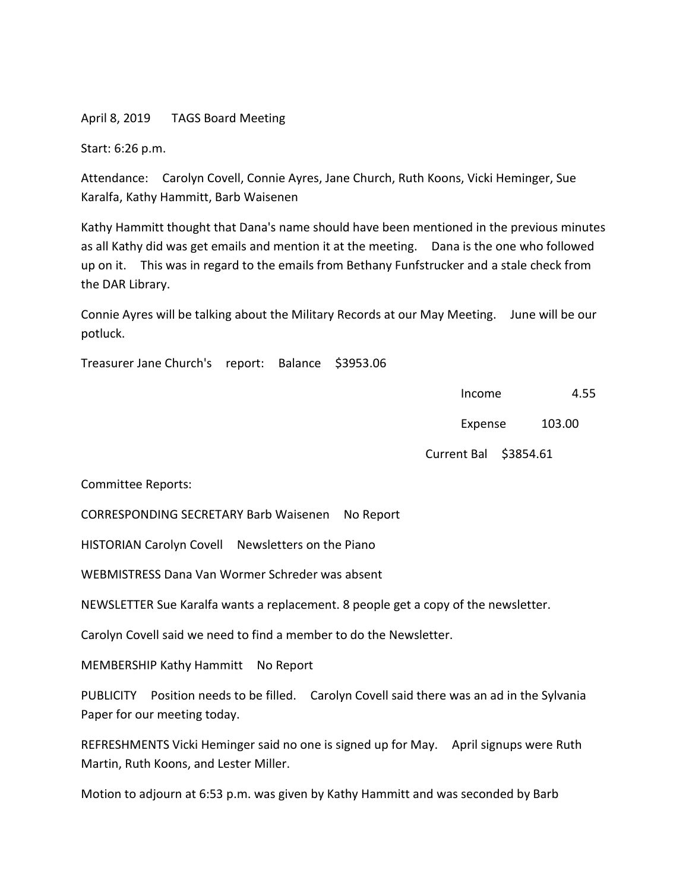April 8, 2019 TAGS Board Meeting

Start: 6:26 p.m.

Attendance: Carolyn Covell, Connie Ayres, Jane Church, Ruth Koons, Vicki Heminger, Sue Karalfa, Kathy Hammitt, Barb Waisenen

Kathy Hammitt thought that Dana's name should have been mentioned in the previous minutes as all Kathy did was get emails and mention it at the meeting. Dana is the one who followed up on it. This was in regard to the emails from Bethany Funfstrucker and a stale check from the DAR Library.

Connie Ayres will be talking about the Military Records at our May Meeting. June will be our potluck.

Treasurer Jane Church's report: Balance \$3953.06

example 2.55 and 2.55 and 2.55 and 2.55 and 2.55 and 2.55 and 2.55 and 2.55 and 2.55 and 2.55 and 2.55 and 2.55 and 2.55 and 2.55 and 2.55 and 2.55 and 2.55 and 2.55 and 2.55 and 2.55 and 2.55 and 2.55 and 2.55 and 2.55 an

Expense 103.00

Current Bal \$3854.61

Committee Reports:

CORRESPONDING SECRETARY Barb Waisenen No Report

HISTORIAN Carolyn Covell Newsletters on the Piano

WEBMISTRESS Dana Van Wormer Schreder was absent

NEWSLETTER Sue Karalfa wants a replacement. 8 people get a copy of the newsletter.

Carolyn Covell said we need to find a member to do the Newsletter.

MEMBERSHIP Kathy Hammitt No Report

PUBLICITY Position needs to be filled. Carolyn Covell said there was an ad in the Sylvania Paper for our meeting today.

REFRESHMENTS Vicki Heminger said no one is signed up for May. April signups were Ruth Martin, Ruth Koons, and Lester Miller.

Motion to adjourn at 6:53 p.m. was given by Kathy Hammitt and was seconded by Barb